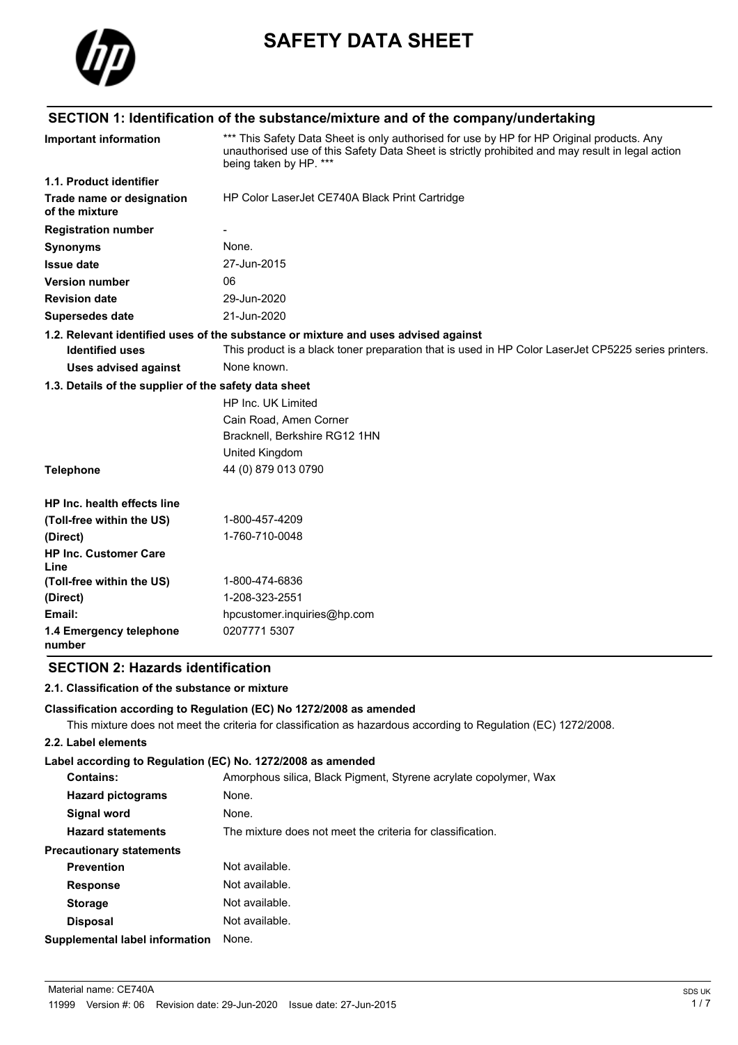

# **SAFETY DATA SHEET**

# **SECTION 1: Identification of the substance/mixture and of the company/undertaking**

| Important information                                 | *** This Safety Data Sheet is only authorised for use by HP for HP Original products. Any<br>unauthorised use of this Safety Data Sheet is strictly prohibited and may result in legal action<br>being taken by HP. *** |  |  |
|-------------------------------------------------------|-------------------------------------------------------------------------------------------------------------------------------------------------------------------------------------------------------------------------|--|--|
| 1.1. Product identifier                               |                                                                                                                                                                                                                         |  |  |
| Trade name or designation<br>of the mixture           | HP Color LaserJet CE740A Black Print Cartridge                                                                                                                                                                          |  |  |
| <b>Registration number</b>                            |                                                                                                                                                                                                                         |  |  |
| <b>Synonyms</b>                                       | None.                                                                                                                                                                                                                   |  |  |
| <b>Issue date</b>                                     | 27-Jun-2015                                                                                                                                                                                                             |  |  |
| <b>Version number</b>                                 | 06                                                                                                                                                                                                                      |  |  |
| <b>Revision date</b>                                  | 29-Jun-2020                                                                                                                                                                                                             |  |  |
| Supersedes date                                       | 21-Jun-2020                                                                                                                                                                                                             |  |  |
|                                                       | 1.2. Relevant identified uses of the substance or mixture and uses advised against                                                                                                                                      |  |  |
| <b>Identified uses</b>                                | This product is a black toner preparation that is used in HP Color LaserJet CP5225 series printers.                                                                                                                     |  |  |
| <b>Uses advised against</b>                           | None known.                                                                                                                                                                                                             |  |  |
| 1.3. Details of the supplier of the safety data sheet |                                                                                                                                                                                                                         |  |  |
|                                                       | HP Inc. UK Limited                                                                                                                                                                                                      |  |  |
|                                                       | Cain Road, Amen Corner                                                                                                                                                                                                  |  |  |
|                                                       | Bracknell, Berkshire RG12 1HN                                                                                                                                                                                           |  |  |
|                                                       | United Kingdom                                                                                                                                                                                                          |  |  |
| <b>Telephone</b>                                      | 44 (0) 879 013 0790                                                                                                                                                                                                     |  |  |
| HP Inc. health effects line                           |                                                                                                                                                                                                                         |  |  |
| (Toll-free within the US)                             | 1-800-457-4209                                                                                                                                                                                                          |  |  |
| (Direct)                                              | 1-760-710-0048                                                                                                                                                                                                          |  |  |
| <b>HP Inc. Customer Care</b><br>Line                  |                                                                                                                                                                                                                         |  |  |
| (Toll-free within the US)                             | 1-800-474-6836                                                                                                                                                                                                          |  |  |
| (Direct)                                              | 1-208-323-2551                                                                                                                                                                                                          |  |  |
| Email:                                                | hpcustomer.inquiries@hp.com                                                                                                                                                                                             |  |  |
| 1.4 Emergency telephone<br>number                     | 0207771 5307                                                                                                                                                                                                            |  |  |

### **SECTION 2: Hazards identification**

#### **2.1. Classification of the substance or mixture**

#### **Classification according to Regulation (EC) No 1272/2008 as amended**

This mixture does not meet the criteria for classification as hazardous according to Regulation (EC) 1272/2008.

#### **2.2. Label elements**

#### **Label according to Regulation (EC) No. 1272/2008 as amended**

| <b>Contains:</b>                | Amorphous silica, Black Pigment, Styrene acrylate copolymer, Wax |
|---------------------------------|------------------------------------------------------------------|
| <b>Hazard pictograms</b>        | None.                                                            |
| <b>Signal word</b>              | None.                                                            |
| <b>Hazard statements</b>        | The mixture does not meet the criteria for classification.       |
| <b>Precautionary statements</b> |                                                                  |
| <b>Prevention</b>               | Not available.                                                   |
| <b>Response</b>                 | Not available.                                                   |
| <b>Storage</b>                  | Not available.                                                   |
| <b>Disposal</b>                 | Not available.                                                   |
| Supplemental label information  | None.                                                            |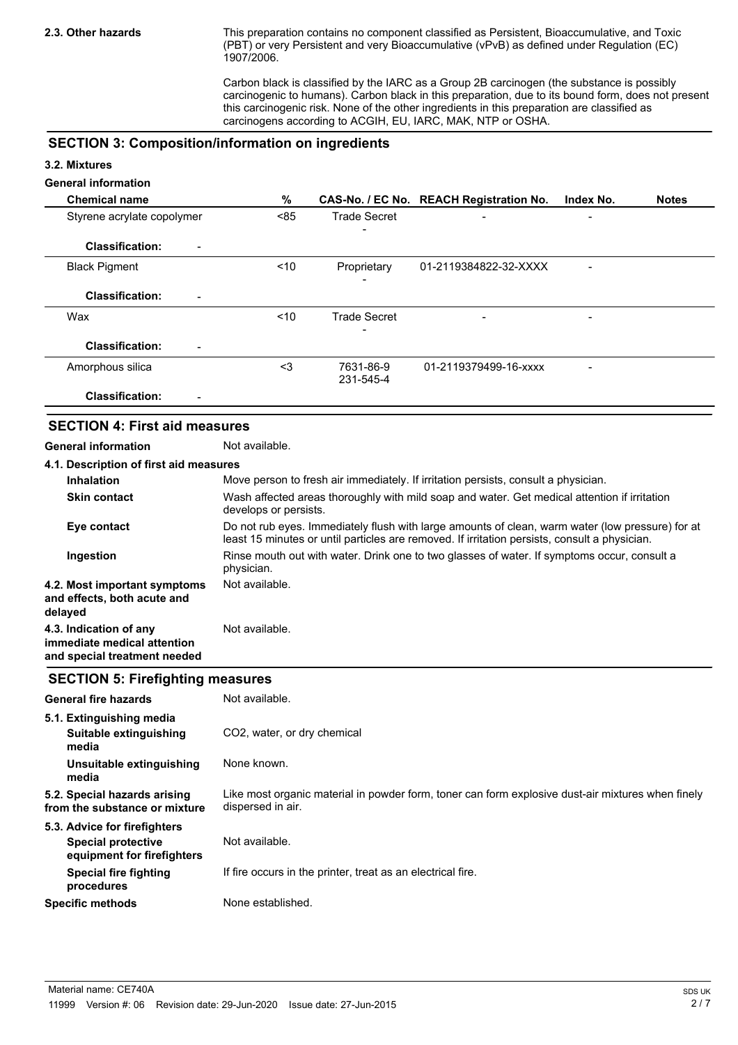This preparation contains no component classified as Persistent, Bioaccumulative, and Toxic (PBT) or very Persistent and very Bioaccumulative (vPvB) as defined under Regulation (EC) 1907/2006.

Carbon black is classified by the IARC as a Group 2B carcinogen (the substance is possibly carcinogenic to humans). Carbon black in this preparation, due to its bound form, does not present this carcinogenic risk. None of the other ingredients in this preparation are classified as carcinogens according to ACGIH, EU, IARC, MAK, NTP or OSHA.

#### **SECTION 3: Composition/information on ingredients**

#### **3.2. Mixtures**

### **General information**

| <b>Chemical name</b>                     | %      |                        | CAS-No. / EC No. REACH Registration No. | Index No. | <b>Notes</b> |
|------------------------------------------|--------|------------------------|-----------------------------------------|-----------|--------------|
| Styrene acrylate copolymer               | < 85   | <b>Trade Secret</b>    | $\overline{\phantom{0}}$                |           |              |
| <b>Classification:</b><br>-              |        |                        |                                         |           |              |
| <b>Black Pigment</b>                     | ~10    | Proprietary            | 01-2119384822-32-XXXX                   |           |              |
| <b>Classification:</b><br>$\blacksquare$ |        |                        |                                         |           |              |
| Wax                                      | $<$ 10 | <b>Trade Secret</b>    | $\qquad \qquad$                         |           |              |
|                                          |        |                        |                                         |           |              |
| <b>Classification:</b>                   |        |                        |                                         |           |              |
| Amorphous silica                         | $3$    | 7631-86-9<br>231-545-4 | 01-2119379499-16-xxxx                   | -         |              |
| <b>Classification:</b><br>-              |        |                        |                                         |           |              |

#### **SECTION 4: First aid measures**

**General information** Not available.

| 4.1. Description of first aid measures                                                |                                                                                                                                                                                                   |  |
|---------------------------------------------------------------------------------------|---------------------------------------------------------------------------------------------------------------------------------------------------------------------------------------------------|--|
| <b>Inhalation</b>                                                                     | Move person to fresh air immediately. If irritation persists, consult a physician.                                                                                                                |  |
| <b>Skin contact</b>                                                                   | Wash affected areas thoroughly with mild soap and water. Get medical attention if irritation<br>develops or persists.                                                                             |  |
| Eye contact                                                                           | Do not rub eyes. Immediately flush with large amounts of clean, warm water (low pressure) for at<br>least 15 minutes or until particles are removed. If irritation persists, consult a physician. |  |
| Ingestion                                                                             | Rinse mouth out with water. Drink one to two glasses of water. If symptoms occur, consult a<br>physician.                                                                                         |  |
| 4.2. Most important symptoms<br>and effects, both acute and<br>delayed                | Not available.                                                                                                                                                                                    |  |
| 4.3. Indication of any<br>immediate medical attention<br>and special treatment needed | Not available.                                                                                                                                                                                    |  |

#### **SECTION 5: Firefighting measures**

| <b>General fire hazards</b>                                   | Not available.                                                                                                         |
|---------------------------------------------------------------|------------------------------------------------------------------------------------------------------------------------|
| 5.1. Extinguishing media                                      |                                                                                                                        |
| Suitable extinguishing<br>media                               | CO <sub>2</sub> , water, or dry chemical                                                                               |
| Unsuitable extinguishing<br>media                             | None known.                                                                                                            |
| 5.2. Special hazards arising<br>from the substance or mixture | Like most organic material in powder form, toner can form explosive dust-air mixtures when finely<br>dispersed in air. |
| 5.3. Advice for firefighters                                  |                                                                                                                        |
| <b>Special protective</b><br>equipment for firefighters       | Not available.                                                                                                         |
| Special fire fighting<br>procedures                           | If fire occurs in the printer, treat as an electrical fire.                                                            |
| <b>Specific methods</b>                                       | None established.                                                                                                      |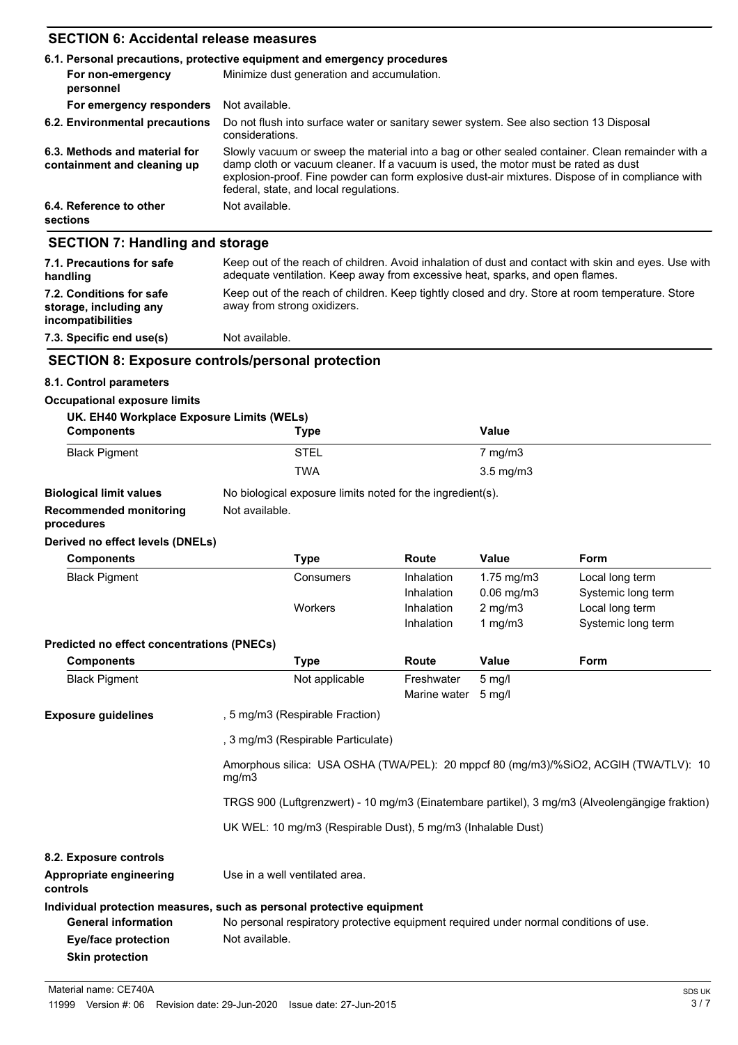## **SECTION 6: Accidental release measures**

|                                                              | 6.1. Personal precautions, protective equipment and emergency procedures                                                                                                                                                                                                                                                             |  |  |
|--------------------------------------------------------------|--------------------------------------------------------------------------------------------------------------------------------------------------------------------------------------------------------------------------------------------------------------------------------------------------------------------------------------|--|--|
| For non-emergency<br>personnel                               | Minimize dust generation and accumulation.                                                                                                                                                                                                                                                                                           |  |  |
| For emergency responders                                     | Not available.                                                                                                                                                                                                                                                                                                                       |  |  |
| 6.2. Environmental precautions                               | Do not flush into surface water or sanitary sewer system. See also section 13 Disposal<br>considerations.                                                                                                                                                                                                                            |  |  |
| 6.3. Methods and material for<br>containment and cleaning up | Slowly vacuum or sweep the material into a bag or other sealed container. Clean remainder with a<br>damp cloth or vacuum cleaner. If a vacuum is used, the motor must be rated as dust<br>explosion-proof. Fine powder can form explosive dust-air mixtures. Dispose of in compliance with<br>federal, state, and local regulations. |  |  |
| 6.4. Reference to other<br>sections                          | Not available.                                                                                                                                                                                                                                                                                                                       |  |  |
| <b>SECTION 7: Handling and storage</b>                       |                                                                                                                                                                                                                                                                                                                                      |  |  |
| 7.1. Precautions for safe<br>handling                        | Keep out of the reach of children. Avoid inhalation of dust and contact with skin and eyes. Use with<br>adequate ventilation. Keep away from excessive heat, sparks, and open flames.                                                                                                                                                |  |  |

|                                                                         | and dance recommendent reads arrangement acceptance thems in the second about the contract                                      |
|-------------------------------------------------------------------------|---------------------------------------------------------------------------------------------------------------------------------|
| 7.2. Conditions for safe<br>storage, including any<br>incompatibilities | Keep out of the reach of children. Keep tightly closed and dry. Store at room temperature. Store<br>away from strong oxidizers. |
|                                                                         |                                                                                                                                 |

#### **7.3. Specific end use(s)** Not available.

## **SECTION 8: Exposure controls/personal protection**

#### **8.1. Control parameters**

#### **Occupational exposure limits**

| UK. EH40 Workplace Exposure Limits (WELs) |             |                    |  |
|-------------------------------------------|-------------|--------------------|--|
| <b>Components</b>                         | <b>Type</b> | Value              |  |
| <b>Black Pigment</b>                      | <b>STEL</b> | 7 mg/m3            |  |
|                                           | <b>TWA</b>  | $3.5 \text{ mg/m}$ |  |
|                                           |             |                    |  |

# **Biological limit values** No biological exposure limits noted for the ingredient(s).

**Recommended monitoring** Not available.

# **procedures**

#### **Derived no effect levels (DNELs)**

**Skin protection**

| <b>Components</b>                          | <b>Type</b>                                                                           | Route                                                                                          | <b>Value</b>                         | Form               |  |  |
|--------------------------------------------|---------------------------------------------------------------------------------------|------------------------------------------------------------------------------------------------|--------------------------------------|--------------------|--|--|
| <b>Black Pigment</b>                       | Consumers                                                                             | Inhalation                                                                                     | $1.75$ mg/m $3$                      | Local long term    |  |  |
|                                            |                                                                                       | Inhalation                                                                                     | $0.06$ mg/m $3$                      | Systemic long term |  |  |
|                                            | Workers                                                                               | Inhalation                                                                                     | $2$ mg/m $3$                         | Local long term    |  |  |
|                                            |                                                                                       | Inhalation                                                                                     | 1 mg/m $3$                           | Systemic long term |  |  |
| Predicted no effect concentrations (PNECs) |                                                                                       |                                                                                                |                                      |                    |  |  |
| <b>Components</b>                          | Type                                                                                  | Route                                                                                          | <b>Value</b>                         | <b>Form</b>        |  |  |
| <b>Black Pigment</b>                       | Not applicable                                                                        | Freshwater<br>Marine water                                                                     | $5 \text{ mq/l}$<br>$5 \text{ mq/l}$ |                    |  |  |
| <b>Exposure guidelines</b>                 | , 5 mg/m3 (Respirable Fraction)                                                       |                                                                                                |                                      |                    |  |  |
|                                            | , 3 mg/m3 (Respirable Particulate)                                                    |                                                                                                |                                      |                    |  |  |
|                                            | mg/m3                                                                                 | Amorphous silica: USA OSHA (TWA/PEL): 20 mppcf 80 (mg/m3)/%SiO2, ACGIH (TWA/TLV): 10           |                                      |                    |  |  |
|                                            |                                                                                       | TRGS 900 (Luftgrenzwert) - 10 mg/m3 (Einatembare partikel), 3 mg/m3 (Alveolengängige fraktion) |                                      |                    |  |  |
|                                            |                                                                                       | UK WEL: 10 mg/m3 (Respirable Dust), 5 mg/m3 (Inhalable Dust)                                   |                                      |                    |  |  |
| 8.2. Exposure controls                     |                                                                                       |                                                                                                |                                      |                    |  |  |
| Appropriate engineering<br>controls        | Use in a well ventilated area.                                                        |                                                                                                |                                      |                    |  |  |
|                                            | Individual protection measures, such as personal protective equipment                 |                                                                                                |                                      |                    |  |  |
| <b>General information</b>                 | No personal respiratory protective equipment required under normal conditions of use. |                                                                                                |                                      |                    |  |  |
| <b>Eye/face protection</b>                 | Not available.                                                                        |                                                                                                |                                      |                    |  |  |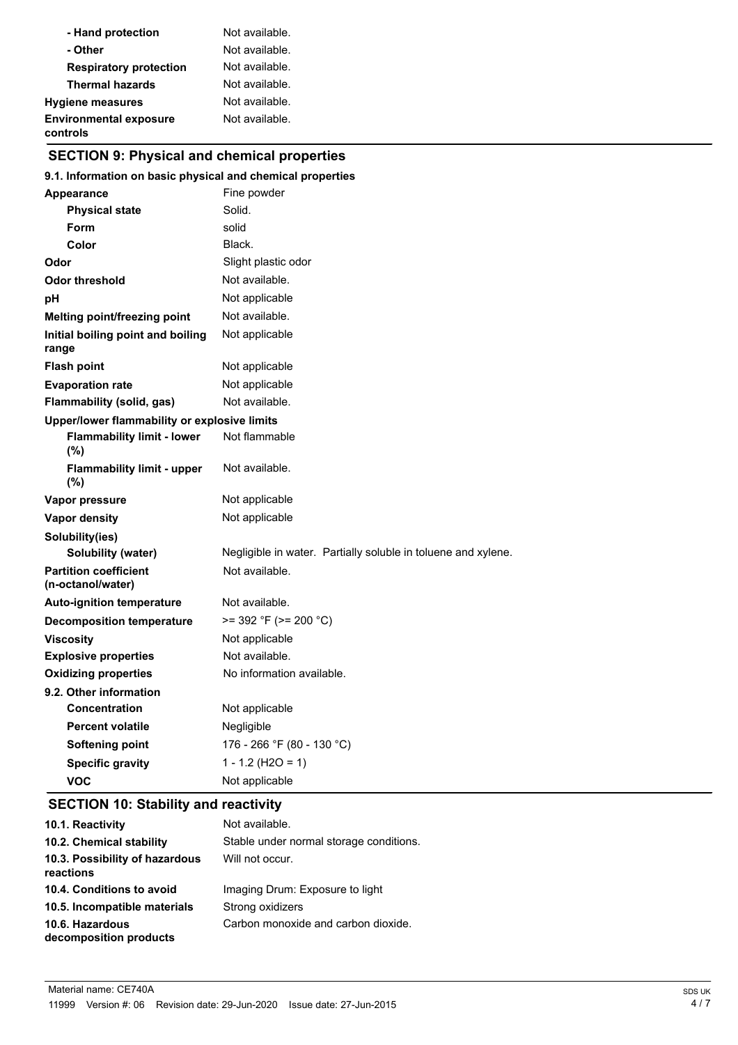| - Hand protection                         | Not available. |
|-------------------------------------------|----------------|
| - Other                                   | Not available. |
| <b>Respiratory protection</b>             | Not available. |
| <b>Thermal hazards</b>                    | Not available. |
| <b>Hygiene measures</b>                   | Not available. |
| <b>Environmental exposure</b><br>controls | Not available. |

# **SECTION 9: Physical and chemical properties**

#### **9.1. Information on basic physical and chemical properties**

| <b>Appearance</b>                                 | Fine powder                                                   |
|---------------------------------------------------|---------------------------------------------------------------|
| <b>Physical state</b>                             | Solid.                                                        |
| Form                                              | solid                                                         |
| Color                                             | Black.                                                        |
| Odor                                              | Slight plastic odor                                           |
| <b>Odor threshold</b>                             | Not available.                                                |
| рH                                                | Not applicable                                                |
| <b>Melting point/freezing point</b>               | Not available.                                                |
| Initial boiling point and boiling<br>range        | Not applicable                                                |
| <b>Flash point</b>                                | Not applicable                                                |
| <b>Evaporation rate</b>                           | Not applicable                                                |
| Flammability (solid, gas)                         | Not available.                                                |
| Upper/lower flammability or explosive limits      |                                                               |
| <b>Flammability limit - lower</b><br>(%)          | Not flammable                                                 |
| <b>Flammability limit - upper</b><br>$(\%)$       | Not available.                                                |
| Vapor pressure                                    | Not applicable                                                |
| <b>Vapor density</b>                              | Not applicable                                                |
| Solubility(ies)                                   |                                                               |
| Solubility (water)                                | Negligible in water. Partially soluble in toluene and xylene. |
| <b>Partition coefficient</b><br>(n-octanol/water) | Not available.                                                |
| <b>Auto-ignition temperature</b>                  | Not available.                                                |
| <b>Decomposition temperature</b>                  | $>= 392 °F (= 200 °C)$                                        |
| <b>Viscosity</b>                                  | Not applicable                                                |
| <b>Explosive properties</b>                       | Not available.                                                |
| <b>Oxidizing properties</b>                       | No information available.                                     |
| 9.2. Other information                            |                                                               |
| <b>Concentration</b>                              | Not applicable                                                |
| <b>Percent volatile</b>                           | Negligible                                                    |
| <b>Softening point</b>                            | 176 - 266 °F (80 - 130 °C)                                    |
| <b>Specific gravity</b>                           | $1 - 1.2$ (H2O = 1)                                           |
| VOC                                               | Not applicable                                                |

# **SECTION 10: Stability and reactivity**

| 10.1. Reactivity                            | Not available.                          |
|---------------------------------------------|-----------------------------------------|
| 10.2. Chemical stability                    | Stable under normal storage conditions. |
| 10.3. Possibility of hazardous<br>reactions | Will not occur.                         |
| 10.4. Conditions to avoid                   | Imaging Drum: Exposure to light         |
| 10.5. Incompatible materials                | Strong oxidizers                        |
| 10.6. Hazardous<br>decomposition products   | Carbon monoxide and carbon dioxide.     |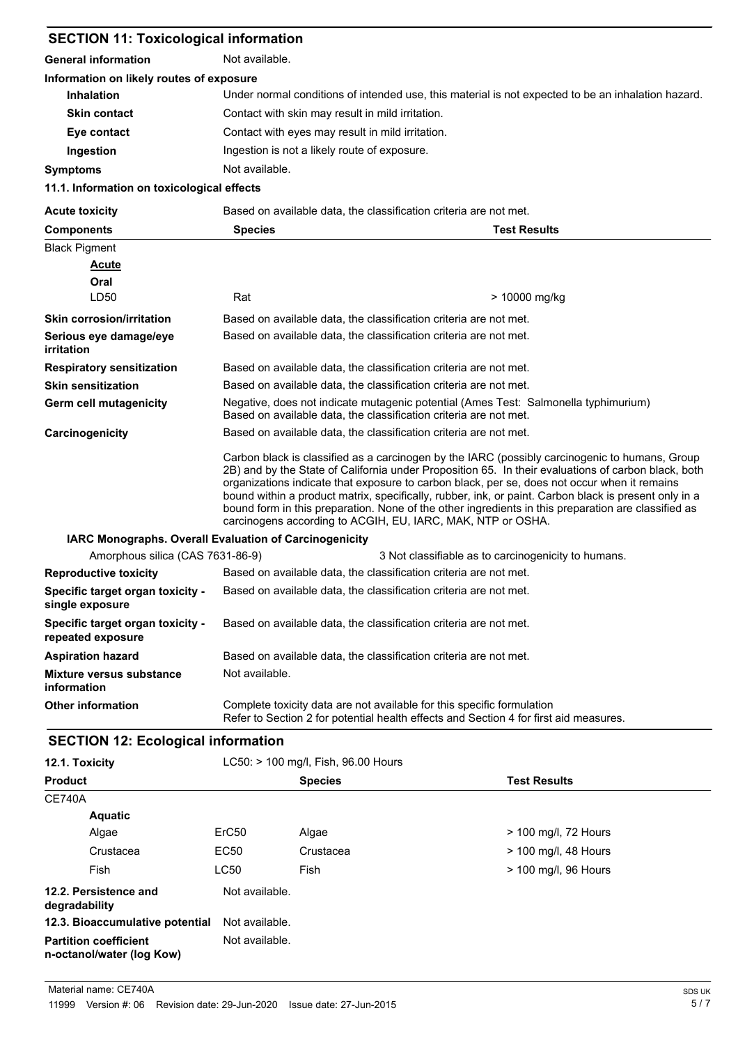| <b>SECTION 11: Toxicological information</b>           |                                                                                                                                                                                                                                                                                                                                                                                                                                                                                                                                                                                      |  |  |
|--------------------------------------------------------|--------------------------------------------------------------------------------------------------------------------------------------------------------------------------------------------------------------------------------------------------------------------------------------------------------------------------------------------------------------------------------------------------------------------------------------------------------------------------------------------------------------------------------------------------------------------------------------|--|--|
| <b>General information</b>                             | Not available.                                                                                                                                                                                                                                                                                                                                                                                                                                                                                                                                                                       |  |  |
| Information on likely routes of exposure               |                                                                                                                                                                                                                                                                                                                                                                                                                                                                                                                                                                                      |  |  |
| <b>Inhalation</b>                                      | Under normal conditions of intended use, this material is not expected to be an inhalation hazard.                                                                                                                                                                                                                                                                                                                                                                                                                                                                                   |  |  |
| <b>Skin contact</b>                                    | Contact with skin may result in mild irritation.                                                                                                                                                                                                                                                                                                                                                                                                                                                                                                                                     |  |  |
| Eye contact                                            | Contact with eyes may result in mild irritation.                                                                                                                                                                                                                                                                                                                                                                                                                                                                                                                                     |  |  |
| Ingestion                                              | Ingestion is not a likely route of exposure.                                                                                                                                                                                                                                                                                                                                                                                                                                                                                                                                         |  |  |
| <b>Symptoms</b>                                        | Not available.                                                                                                                                                                                                                                                                                                                                                                                                                                                                                                                                                                       |  |  |
| 11.1. Information on toxicological effects             |                                                                                                                                                                                                                                                                                                                                                                                                                                                                                                                                                                                      |  |  |
| <b>Acute toxicity</b>                                  | Based on available data, the classification criteria are not met.                                                                                                                                                                                                                                                                                                                                                                                                                                                                                                                    |  |  |
| <b>Components</b>                                      | <b>Test Results</b><br><b>Species</b>                                                                                                                                                                                                                                                                                                                                                                                                                                                                                                                                                |  |  |
| <b>Black Pigment</b>                                   |                                                                                                                                                                                                                                                                                                                                                                                                                                                                                                                                                                                      |  |  |
| <b>Acute</b>                                           |                                                                                                                                                                                                                                                                                                                                                                                                                                                                                                                                                                                      |  |  |
| Oral                                                   |                                                                                                                                                                                                                                                                                                                                                                                                                                                                                                                                                                                      |  |  |
| LD50                                                   | Rat<br>> 10000 mg/kg                                                                                                                                                                                                                                                                                                                                                                                                                                                                                                                                                                 |  |  |
| <b>Skin corrosion/irritation</b>                       | Based on available data, the classification criteria are not met.                                                                                                                                                                                                                                                                                                                                                                                                                                                                                                                    |  |  |
| Serious eye damage/eye<br><i>irritation</i>            | Based on available data, the classification criteria are not met.                                                                                                                                                                                                                                                                                                                                                                                                                                                                                                                    |  |  |
| <b>Respiratory sensitization</b>                       | Based on available data, the classification criteria are not met.                                                                                                                                                                                                                                                                                                                                                                                                                                                                                                                    |  |  |
| <b>Skin sensitization</b>                              | Based on available data, the classification criteria are not met.                                                                                                                                                                                                                                                                                                                                                                                                                                                                                                                    |  |  |
| Germ cell mutagenicity                                 | Negative, does not indicate mutagenic potential (Ames Test: Salmonella typhimurium)<br>Based on available data, the classification criteria are not met.                                                                                                                                                                                                                                                                                                                                                                                                                             |  |  |
| Carcinogenicity                                        | Based on available data, the classification criteria are not met.                                                                                                                                                                                                                                                                                                                                                                                                                                                                                                                    |  |  |
|                                                        | Carbon black is classified as a carcinogen by the IARC (possibly carcinogenic to humans, Group<br>2B) and by the State of California under Proposition 65. In their evaluations of carbon black, both<br>organizations indicate that exposure to carbon black, per se, does not occur when it remains<br>bound within a product matrix, specifically, rubber, ink, or paint. Carbon black is present only in a<br>bound form in this preparation. None of the other ingredients in this preparation are classified as<br>carcinogens according to ACGIH, EU, IARC, MAK, NTP or OSHA. |  |  |
| IARC Monographs. Overall Evaluation of Carcinogenicity |                                                                                                                                                                                                                                                                                                                                                                                                                                                                                                                                                                                      |  |  |
| Amorphous silica (CAS 7631-86-9)                       | 3 Not classifiable as to carcinogenicity to humans.                                                                                                                                                                                                                                                                                                                                                                                                                                                                                                                                  |  |  |
| <b>Reproductive toxicity</b>                           | Based on available data, the classification criteria are not met.                                                                                                                                                                                                                                                                                                                                                                                                                                                                                                                    |  |  |
| Specific target organ toxicity -<br>single exposure    | Based on available data, the classification criteria are not met.                                                                                                                                                                                                                                                                                                                                                                                                                                                                                                                    |  |  |
| Specific target organ toxicity -<br>repeated exposure  | Based on available data, the classification criteria are not met.                                                                                                                                                                                                                                                                                                                                                                                                                                                                                                                    |  |  |
| <b>Aspiration hazard</b>                               | Based on available data, the classification criteria are not met.                                                                                                                                                                                                                                                                                                                                                                                                                                                                                                                    |  |  |
| <b>Mixture versus substance</b><br>information         | Not available.                                                                                                                                                                                                                                                                                                                                                                                                                                                                                                                                                                       |  |  |
| <b>Other information</b>                               | Complete toxicity data are not available for this specific formulation<br>Refer to Section 2 for potential health effects and Section 4 for first aid measures.                                                                                                                                                                                                                                                                                                                                                                                                                      |  |  |

# **SECTION 12: Ecological information**

| 12.1. Toxicity                                            | LC50: > 100 mg/l, Fish, 96.00 Hours |                |                      |  |
|-----------------------------------------------------------|-------------------------------------|----------------|----------------------|--|
| <b>Product</b>                                            |                                     | <b>Species</b> | <b>Test Results</b>  |  |
| <b>CE740A</b>                                             |                                     |                |                      |  |
| <b>Aquatic</b>                                            |                                     |                |                      |  |
| Algae                                                     | ErC <sub>50</sub>                   | Algae          | > 100 mg/l, 72 Hours |  |
| Crustacea                                                 | EC50                                | Crustacea      | > 100 mg/l, 48 Hours |  |
| Fish                                                      | <b>LC50</b>                         | Fish           | > 100 mg/l, 96 Hours |  |
| 12.2. Persistence and<br>degradability                    | Not available.                      |                |                      |  |
| 12.3. Bioaccumulative potential                           | Not available.                      |                |                      |  |
| <b>Partition coefficient</b><br>n-octanol/water (log Kow) | Not available.                      |                |                      |  |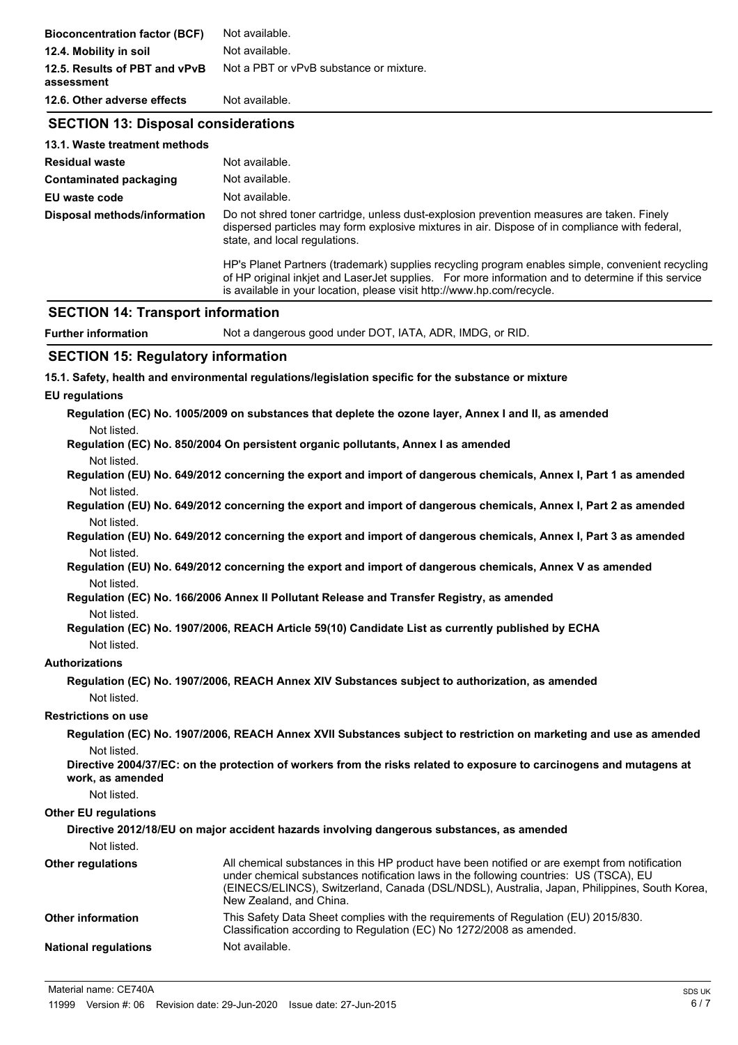| <b>Bioconcentration factor (BCF)</b>        | Not available.                                                                                                                                                                                                                                                                   |  |  |
|---------------------------------------------|----------------------------------------------------------------------------------------------------------------------------------------------------------------------------------------------------------------------------------------------------------------------------------|--|--|
| 12.4. Mobility in soil                      | Not available.                                                                                                                                                                                                                                                                   |  |  |
| 12.5. Results of PBT and vPvB<br>assessment | Not a PBT or vPvB substance or mixture.                                                                                                                                                                                                                                          |  |  |
| 12.6. Other adverse effects                 | Not available.                                                                                                                                                                                                                                                                   |  |  |
| <b>SECTION 13: Disposal considerations</b>  |                                                                                                                                                                                                                                                                                  |  |  |
| 13.1. Waste treatment methods               |                                                                                                                                                                                                                                                                                  |  |  |
| <b>Residual waste</b>                       | Not available.                                                                                                                                                                                                                                                                   |  |  |
| Contaminated packaging                      | Not available.                                                                                                                                                                                                                                                                   |  |  |
| <b>EU waste code</b>                        | Not available.                                                                                                                                                                                                                                                                   |  |  |
| Disposal methods/information                | Do not shred toner cartridge, unless dust-explosion prevention measures are taken. Finely<br>dispersed particles may form explosive mixtures in air. Dispose of in compliance with federal,<br>state, and local regulations.                                                     |  |  |
|                                             | HP's Planet Partners (trademark) supplies recycling program enables simple, convenient recycling<br>of HP original inkjet and LaserJet supplies. For more information and to determine if this service<br>is available in your location, please visit http://www.hp.com/recycle. |  |  |
| <b>SECTION 14: Transport information</b>    |                                                                                                                                                                                                                                                                                  |  |  |
| <b>Further information</b>                  | Not a dangerous good under DOT, IATA, ADR, IMDG, or RID.                                                                                                                                                                                                                         |  |  |
| <b>SECTION 15: Regulatory information</b>   |                                                                                                                                                                                                                                                                                  |  |  |
|                                             | 15.1. Safety, health and environmental regulations/legislation specific for the substance or mixture                                                                                                                                                                             |  |  |
| <b>EU</b> regulations                       |                                                                                                                                                                                                                                                                                  |  |  |
|                                             | Regulation (EC) No. 1005/2009 on substances that deplete the ozone layer, Annex I and II, as amended                                                                                                                                                                             |  |  |
| Not listed.                                 |                                                                                                                                                                                                                                                                                  |  |  |
|                                             | Regulation (EC) No. 850/2004 On persistent organic pollutants, Annex I as amended                                                                                                                                                                                                |  |  |
| Not listed.                                 |                                                                                                                                                                                                                                                                                  |  |  |
|                                             | Regulation (EU) No. 649/2012 concerning the export and import of dangerous chemicals, Annex I, Part 1 as amended                                                                                                                                                                 |  |  |
| Not listed.                                 |                                                                                                                                                                                                                                                                                  |  |  |
|                                             | Regulation (EU) No. 649/2012 concerning the export and import of dangerous chemicals, Annex I, Part 2 as amended                                                                                                                                                                 |  |  |
| Not listed.                                 | Regulation (EU) No. 649/2012 concerning the export and import of dangerous chemicals, Annex I, Part 3 as amended                                                                                                                                                                 |  |  |
| Not listed.                                 |                                                                                                                                                                                                                                                                                  |  |  |
|                                             | Regulation (EU) No. 649/2012 concerning the export and import of dangerous chemicals, Annex V as amended                                                                                                                                                                         |  |  |
| Not listed.                                 |                                                                                                                                                                                                                                                                                  |  |  |
|                                             | Regulation (EC) No. 166/2006 Annex II Pollutant Release and Transfer Registry, as amended                                                                                                                                                                                        |  |  |

#### Not listed.

#### **Authorizations**

```
Regulation (EC) No. 1907/2006, REACH Annex XIV Substances subject to authorization, as amended
Not listed.
```
#### **Restrictions on use**

**Regulation (EC) No. 1907/2006, REACH Annex XVII Substances subject to restriction on marketing and use as amended** Not listed.

**Directive 2004/37/EC: on the protection of workers from the risks related to exposure to carcinogens and mutagens at work, as amended**

Not listed.

#### **Other EU regulations**

|                             | Directive 2012/18/EU on major accident hazards involving dangerous substances, as amended                                                                                                                                                                                                                         |
|-----------------------------|-------------------------------------------------------------------------------------------------------------------------------------------------------------------------------------------------------------------------------------------------------------------------------------------------------------------|
| Not listed.                 |                                                                                                                                                                                                                                                                                                                   |
| <b>Other regulations</b>    | All chemical substances in this HP product have been notified or are exempt from notification<br>under chemical substances notification laws in the following countries: US (TSCA), EU<br>(EINECS/ELINCS), Switzerland, Canada (DSL/NDSL), Australia, Japan, Philippines, South Korea,<br>New Zealand, and China. |
| <b>Other information</b>    | This Safety Data Sheet complies with the requirements of Regulation (EU) 2015/830.<br>Classification according to Regulation (EC) No 1272/2008 as amended.                                                                                                                                                        |
| <b>National regulations</b> | Not available.                                                                                                                                                                                                                                                                                                    |

**Regulation (EC) No. 1907/2006, REACH Article 59(10) Candidate List as currently published by ECHA** Not listed.